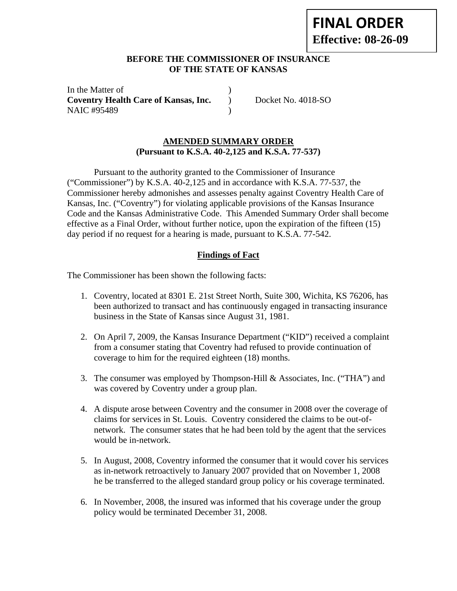# **FINAL ORDER Effective: 08-26-09**

# **BEFORE THE COMMISSIONER OF INSURANCE OF THE STATE OF KANSAS**

In the Matter of **Coventry Health Care of Kansas, Inc.** ) Docket No. 4018-SO NAIC #95489 (1992)

# **AMENDED SUMMARY ORDER (Pursuant to K.S.A. 40-2,125 and K.S.A. 77-537)**

Pursuant to the authority granted to the Commissioner of Insurance ("Commissioner") by K.S.A. 40-2,125 and in accordance with K.S.A. 77-537, the Commissioner hereby admonishes and assesses penalty against Coventry Health Care of Kansas, Inc. ("Coventry") for violating applicable provisions of the Kansas Insurance Code and the Kansas Administrative Code. This Amended Summary Order shall become effective as a Final Order, without further notice, upon the expiration of the fifteen (15) day period if no request for a hearing is made, pursuant to K.S.A. 77-542.

# **Findings of Fact**

The Commissioner has been shown the following facts:

- 1. Coventry, located at 8301 E. 21st Street North, Suite 300, Wichita, KS 76206, has been authorized to transact and has continuously engaged in transacting insurance business in the State of Kansas since August 31, 1981.
- 2. On April 7, 2009, the Kansas Insurance Department ("KID") received a complaint from a consumer stating that Coventry had refused to provide continuation of coverage to him for the required eighteen (18) months.
- 3. The consumer was employed by Thompson-Hill & Associates, Inc. ("THA") and was covered by Coventry under a group plan.
- 4. A dispute arose between Coventry and the consumer in 2008 over the coverage of claims for services in St. Louis. Coventry considered the claims to be out-ofnetwork. The consumer states that he had been told by the agent that the services would be in-network.
- 5. In August, 2008, Coventry informed the consumer that it would cover his services as in-network retroactively to January 2007 provided that on November 1, 2008 he be transferred to the alleged standard group policy or his coverage terminated.
- 6. In November, 2008, the insured was informed that his coverage under the group policy would be terminated December 31, 2008.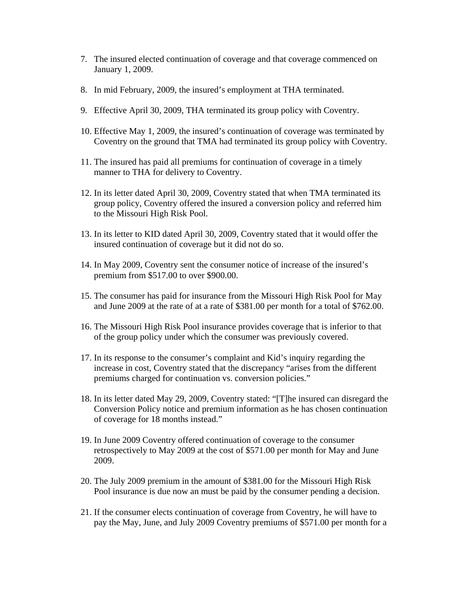- 7. The insured elected continuation of coverage and that coverage commenced on January 1, 2009.
- 8. In mid February, 2009, the insured's employment at THA terminated.
- 9. Effective April 30, 2009, THA terminated its group policy with Coventry.
- 10. Effective May 1, 2009, the insured's continuation of coverage was terminated by Coventry on the ground that TMA had terminated its group policy with Coventry.
- 11. The insured has paid all premiums for continuation of coverage in a timely manner to THA for delivery to Coventry.
- 12. In its letter dated April 30, 2009, Coventry stated that when TMA terminated its group policy, Coventry offered the insured a conversion policy and referred him to the Missouri High Risk Pool.
- 13. In its letter to KID dated April 30, 2009, Coventry stated that it would offer the insured continuation of coverage but it did not do so.
- 14. In May 2009, Coventry sent the consumer notice of increase of the insured's premium from \$517.00 to over \$900.00.
- 15. The consumer has paid for insurance from the Missouri High Risk Pool for May and June 2009 at the rate of at a rate of \$381.00 per month for a total of \$762.00.
- 16. The Missouri High Risk Pool insurance provides coverage that is inferior to that of the group policy under which the consumer was previously covered.
- 17. In its response to the consumer's complaint and Kid's inquiry regarding the increase in cost, Coventry stated that the discrepancy "arises from the different premiums charged for continuation vs. conversion policies."
- 18. In its letter dated May 29, 2009, Coventry stated: "[T]he insured can disregard the Conversion Policy notice and premium information as he has chosen continuation of coverage for 18 months instead."
- 19. In June 2009 Coventry offered continuation of coverage to the consumer retrospectively to May 2009 at the cost of \$571.00 per month for May and June 2009.
- 20. The July 2009 premium in the amount of \$381.00 for the Missouri High Risk Pool insurance is due now an must be paid by the consumer pending a decision.
- 21. If the consumer elects continuation of coverage from Coventry, he will have to pay the May, June, and July 2009 Coventry premiums of \$571.00 per month for a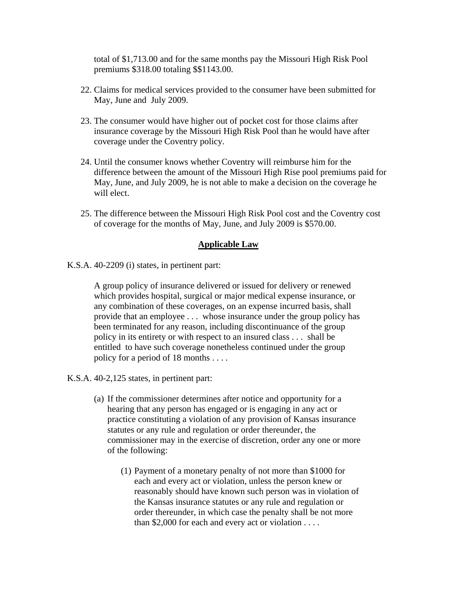total of \$1,713.00 and for the same months pay the Missouri High Risk Pool premiums \$318.00 totaling \$\$1143.00.

- 22. Claims for medical services provided to the consumer have been submitted for May, June and July 2009.
- 23. The consumer would have higher out of pocket cost for those claims after insurance coverage by the Missouri High Risk Pool than he would have after coverage under the Coventry policy.
- 24. Until the consumer knows whether Coventry will reimburse him for the difference between the amount of the Missouri High Rise pool premiums paid for May, June, and July 2009, he is not able to make a decision on the coverage he will elect.
- 25. The difference between the Missouri High Risk Pool cost and the Coventry cost of coverage for the months of May, June, and July 2009 is \$570.00.

#### **Applicable Law**

K.S.A. 40-2209 (i) states, in pertinent part:

A group policy of insurance delivered or issued for delivery or renewed which provides hospital, surgical or major medical expense insurance, or any combination of these coverages, on an expense incurred basis, shall provide that an employee . . . whose insurance under the group policy has been terminated for any reason, including discontinuance of the group policy in its entirety or with respect to an insured class . . . shall be entitled to have such coverage nonetheless continued under the group policy for a period of 18 months . . . .

K.S.A. 40-2,125 states, in pertinent part:

- (a) If the commissioner determines after notice and opportunity for a hearing that any person has engaged or is engaging in any act or practice constituting a violation of any provision of Kansas insurance statutes or any rule and regulation or order thereunder, the commissioner may in the exercise of discretion, order any one or more of the following:
	- (1) Payment of a monetary penalty of not more than \$1000 for each and every act or violation, unless the person knew or reasonably should have known such person was in violation of the Kansas insurance statutes or any rule and regulation or order thereunder, in which case the penalty shall be not more than \$2,000 for each and every act or violation . . . .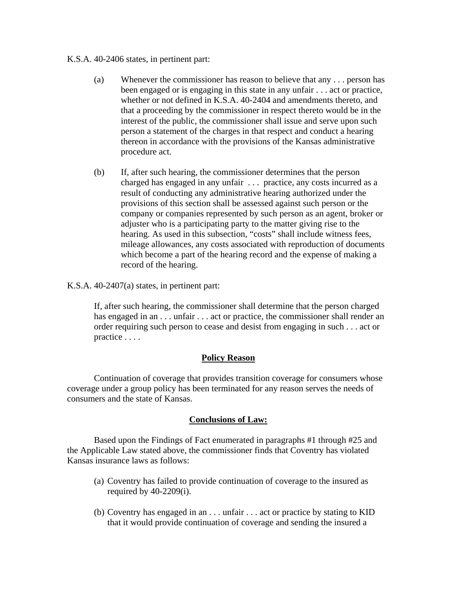#### K.S.A. 40-2406 states, in pertinent part:

- (a) Whenever the commissioner has reason to believe that any . . . person has been engaged or is engaging in this state in any unfair . . . act or practice, whether or not defined in K.S.A. 40-2404 and amendments thereto, and that a proceeding by the commissioner in respect thereto would be in the interest of the public, the commissioner shall issue and serve upon such person a statement of the charges in that respect and conduct a hearing thereon in accordance with the provisions of the Kansas administrative procedure act.
- (b) If, after such hearing, the commissioner determines that the person charged has engaged in any unfair . . . practice, any costs incurred as a result of conducting any administrative hearing authorized under the provisions of this section shall be assessed against such person or the company or companies represented by such person as an agent, broker or adjuster who is a participating party to the matter giving rise to the hearing. As used in this subsection, "costs" shall include witness fees, mileage allowances, any costs associated with reproduction of documents which become a part of the hearing record and the expense of making a record of the hearing.
- K.S.A. 40-2407(a) states, in pertinent part:

If, after such hearing, the commissioner shall determine that the person charged has engaged in an . . . unfair . . . act or practice, the commissioner shall render an order requiring such person to cease and desist from engaging in such . . . act or practice . . . .

# **Policy Reason**

 Continuation of coverage that provides transition coverage for consumers whose coverage under a group policy has been terminated for any reason serves the needs of consumers and the state of Kansas.

## **Conclusions of Law:**

Based upon the Findings of Fact enumerated in paragraphs #1 through #25 and the Applicable Law stated above, the commissioner finds that Coventry has violated Kansas insurance laws as follows:

- (a) Coventry has failed to provide continuation of coverage to the insured as required by  $40-2209(i)$ .
- (b) Coventry has engaged in an . . . unfair . . . act or practice by stating to KID that it would provide continuation of coverage and sending the insured a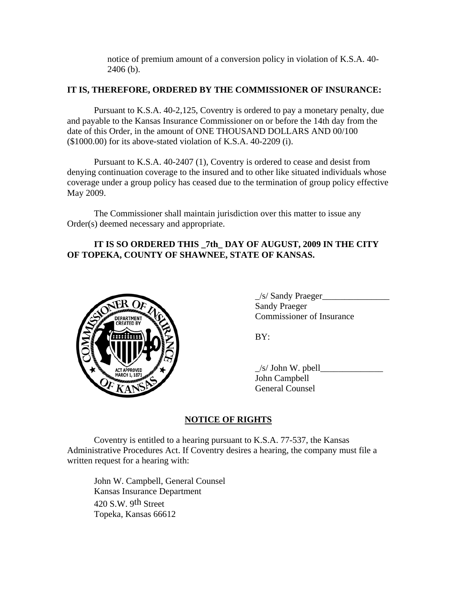notice of premium amount of a conversion policy in violation of K.S.A. 40- 2406 (b).

## **IT IS, THEREFORE, ORDERED BY THE COMMISSIONER OF INSURANCE:**

Pursuant to K.S.A. 40-2,125, Coventry is ordered to pay a monetary penalty, due and payable to the Kansas Insurance Commissioner on or before the 14th day from the date of this Order, in the amount of ONE THOUSAND DOLLARS AND 00/100 (\$1000.00) for its above-stated violation of K.S.A. 40-2209 (i).

Pursuant to K.S.A. 40-2407 (1), Coventry is ordered to cease and desist from denying continuation coverage to the insured and to other like situated individuals whose coverage under a group policy has ceased due to the termination of group policy effective May 2009.

The Commissioner shall maintain jurisdiction over this matter to issue any Order(s) deemed necessary and appropriate.

# **IT IS SO ORDERED THIS \_7th\_ DAY OF AUGUST, 2009 IN THE CITY OF TOPEKA, COUNTY OF SHAWNEE, STATE OF KANSAS.**



| $\angle$ s/ Sandy Praeger        |
|----------------------------------|
| <b>Sandy Praeger</b>             |
| <b>Commissioner of Insurance</b> |

 $\angle$ s/ John W. pbell $\angle$  John Campbell General Counsel

## **NOTICE OF RIGHTS**

Coventry is entitled to a hearing pursuant to K.S.A. 77-537, the Kansas Administrative Procedures Act. If Coventry desires a hearing, the company must file a written request for a hearing with:

 John W. Campbell, General Counsel Kansas Insurance Department 420 S.W. 9th Street Topeka, Kansas 66612